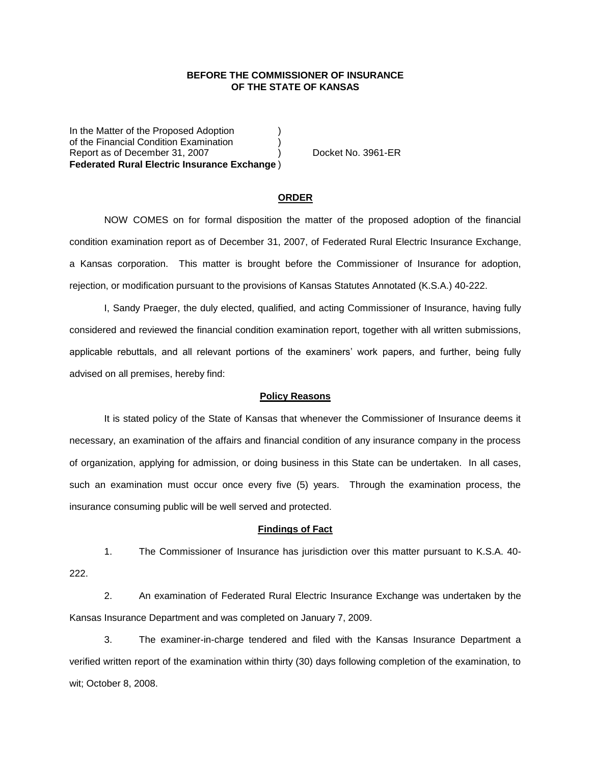## **BEFORE THE COMMISSIONER OF INSURANCE OF THE STATE OF KANSAS**

In the Matter of the Proposed Adoption of the Financial Condition Examination ) Report as of December 31, 2007 (and Separate No. 3961-ER **Federated Rural Electric Insurance Exchange** )

### **ORDER**

NOW COMES on for formal disposition the matter of the proposed adoption of the financial condition examination report as of December 31, 2007, of Federated Rural Electric Insurance Exchange, a Kansas corporation. This matter is brought before the Commissioner of Insurance for adoption, rejection, or modification pursuant to the provisions of Kansas Statutes Annotated (K.S.A.) 40-222.

I, Sandy Praeger, the duly elected, qualified, and acting Commissioner of Insurance, having fully considered and reviewed the financial condition examination report, together with all written submissions, applicable rebuttals, and all relevant portions of the examiners' work papers, and further, being fully advised on all premises, hereby find:

#### **Policy Reasons**

It is stated policy of the State of Kansas that whenever the Commissioner of Insurance deems it necessary, an examination of the affairs and financial condition of any insurance company in the process of organization, applying for admission, or doing business in this State can be undertaken. In all cases, such an examination must occur once every five (5) years. Through the examination process, the insurance consuming public will be well served and protected.

#### **Findings of Fact**

1. The Commissioner of Insurance has jurisdiction over this matter pursuant to K.S.A. 40- 222.

2. An examination of Federated Rural Electric Insurance Exchange was undertaken by the Kansas Insurance Department and was completed on January 7, 2009.

3. The examiner-in-charge tendered and filed with the Kansas Insurance Department a verified written report of the examination within thirty (30) days following completion of the examination, to wit; October 8, 2008.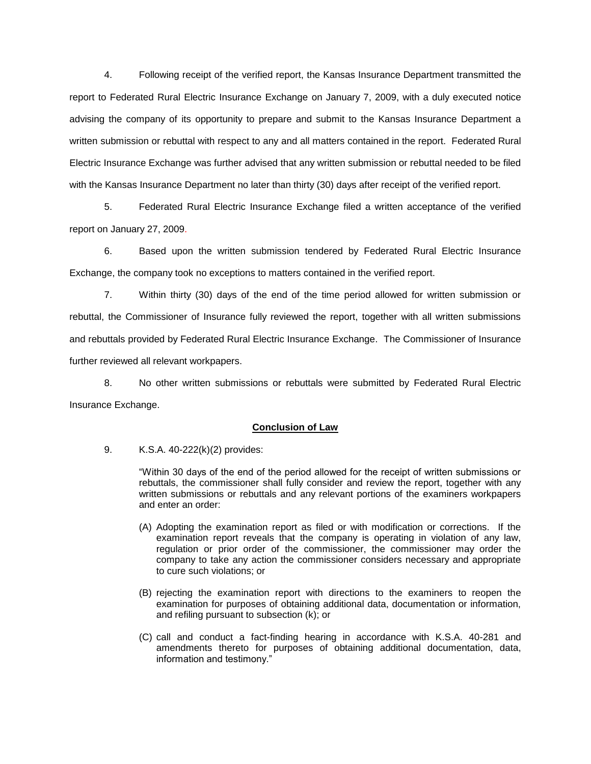4. Following receipt of the verified report, the Kansas Insurance Department transmitted the report to Federated Rural Electric Insurance Exchange on January 7, 2009, with a duly executed notice advising the company of its opportunity to prepare and submit to the Kansas Insurance Department a written submission or rebuttal with respect to any and all matters contained in the report. Federated Rural Electric Insurance Exchange was further advised that any written submission or rebuttal needed to be filed with the Kansas Insurance Department no later than thirty (30) days after receipt of the verified report.

5. Federated Rural Electric Insurance Exchange filed a written acceptance of the verified report on January 27, 2009.

6. Based upon the written submission tendered by Federated Rural Electric Insurance Exchange, the company took no exceptions to matters contained in the verified report.

7. Within thirty (30) days of the end of the time period allowed for written submission or rebuttal, the Commissioner of Insurance fully reviewed the report, together with all written submissions and rebuttals provided by Federated Rural Electric Insurance Exchange. The Commissioner of Insurance further reviewed all relevant workpapers.

8. No other written submissions or rebuttals were submitted by Federated Rural Electric Insurance Exchange.

### **Conclusion of Law**

9. K.S.A. 40-222(k)(2) provides:

"Within 30 days of the end of the period allowed for the receipt of written submissions or rebuttals, the commissioner shall fully consider and review the report, together with any written submissions or rebuttals and any relevant portions of the examiners workpapers and enter an order:

- (A) Adopting the examination report as filed or with modification or corrections. If the examination report reveals that the company is operating in violation of any law, regulation or prior order of the commissioner, the commissioner may order the company to take any action the commissioner considers necessary and appropriate to cure such violations; or
- (B) rejecting the examination report with directions to the examiners to reopen the examination for purposes of obtaining additional data, documentation or information, and refiling pursuant to subsection (k); or
- (C) call and conduct a fact-finding hearing in accordance with K.S.A. 40-281 and amendments thereto for purposes of obtaining additional documentation, data, information and testimony."